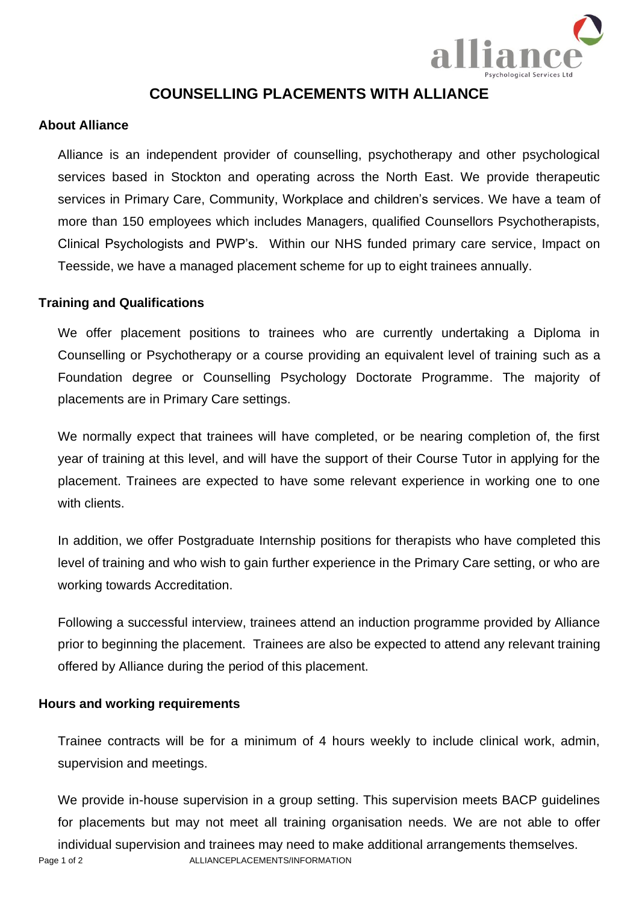

# **COUNSELLING PLACEMENTS WITH ALLIANCE**

### **About Alliance**

Alliance is an independent provider of counselling, psychotherapy and other psychological services based in Stockton and operating across the North East. We provide therapeutic services in Primary Care, Community, Workplace and children's services. We have a team of more than 150 employees which includes Managers, qualified Counsellors Psychotherapists, Clinical Psychologists and PWP's. Within our NHS funded primary care service, Impact on Teesside, we have a managed placement scheme for up to eight trainees annually.

#### **Training and Qualifications**

We offer placement positions to trainees who are currently undertaking a Diploma in Counselling or Psychotherapy or a course providing an equivalent level of training such as a Foundation degree or Counselling Psychology Doctorate Programme. The majority of placements are in Primary Care settings.

We normally expect that trainees will have completed, or be nearing completion of, the first year of training at this level, and will have the support of their Course Tutor in applying for the placement. Trainees are expected to have some relevant experience in working one to one with clients.

In addition, we offer Postgraduate Internship positions for therapists who have completed this level of training and who wish to gain further experience in the Primary Care setting, or who are working towards Accreditation.

Following a successful interview, trainees attend an induction programme provided by Alliance prior to beginning the placement. Trainees are also be expected to attend any relevant training offered by Alliance during the period of this placement.

## **Hours and working requirements**

Trainee contracts will be for a minimum of 4 hours weekly to include clinical work, admin, supervision and meetings.

Page 1 of 2 ALLIANCEPLACEMENTS/INFORMATION We provide in-house supervision in a group setting. This supervision meets BACP guidelines for placements but may not meet all training organisation needs. We are not able to offer individual supervision and trainees may need to make additional arrangements themselves.